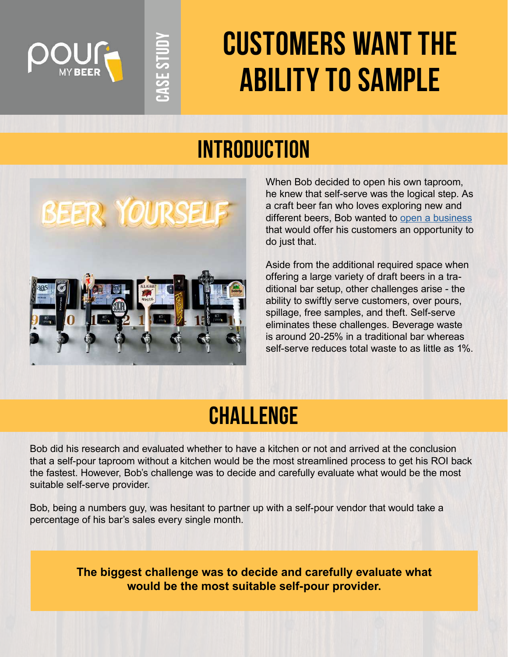

# **customers want the ability to sample**

## **Introduction**



**Case Study**

**ASE STUD** 

When Bob decided to open his own taproom, he knew that self-serve was the logical step. As a craft beer fan who loves exploring new and different beers, Bob wanted to [open a business](https://pourmybeer.com/how-to-open-up-self-pour-establishment/) that would offer his customers an opportunity to do just that.

Aside from the additional required space when offering a large variety of draft beers in a traditional bar setup, other challenges arise - the ability to swiftly serve customers, over pours, spillage, free samples, and theft. Self-serve eliminates these challenges. Beverage waste is around 20-25% in a traditional bar whereas self-serve reduces total waste to as little as 1%.

## **Challenge**

Bob did his research and evaluated whether to have a kitchen or not and arrived at the conclusion that a self-pour taproom without a kitchen would be the most streamlined process to get his ROI back the fastest. However, Bob's challenge was to decide and carefully evaluate what would be the most suitable self-serve provider.

Bob, being a numbers guy, was hesitant to partner up with a self-pour vendor that would take a percentage of his bar's sales every single month.

> **The biggest challenge was to decide and carefully evaluate what would be the most suitable self-pour provider.**